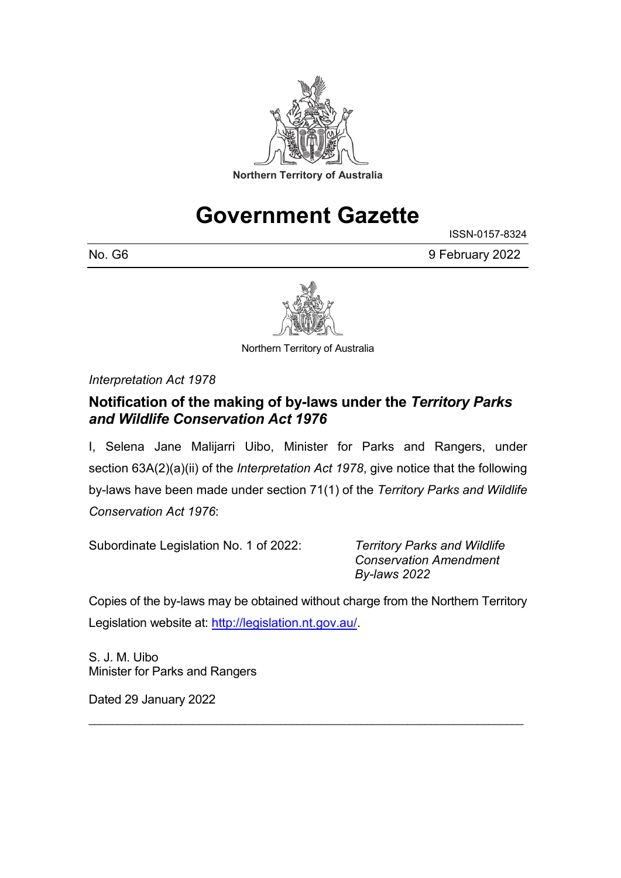

# **Government Gazette**

ISSN-0157-8324

No. G6 9 February 2022



Northern Territory of Australia

*Interpretation Act 1978*

#### **Notification of the making of by-laws under the** *Territory Parks and Wildlife Conservation Act 1976*

I, Selena Jane Malijarri Uibo, Minister for Parks and Rangers, under section 63A(2)(a)(ii) of the *Interpretation Act 1978*, give notice that the following by-laws have been made under section 71(1) of the *Territory Parks and Wildlife Conservation Act 1976*:

Subordinate Legislation No. 1 of 2022: *Territory Parks and Wildlife* 

*Conservation Amendment By-laws 2022* 

Copies of the by-laws may be obtained without charge from the Northern Territory Legislation website at: [http://legislation.nt.gov.au/.](http://legislation.nt.gov.au/)

\_\_\_\_\_\_\_\_\_\_\_\_\_\_\_\_\_\_\_\_\_\_\_\_\_\_\_\_\_\_\_\_\_\_\_\_\_\_\_\_\_\_\_\_\_\_\_\_\_\_\_\_\_\_\_\_\_\_\_\_\_\_\_\_\_\_\_\_\_\_\_\_\_\_\_

S. J. M. Uibo Minister for Parks and Rangers

Dated 29 January 2022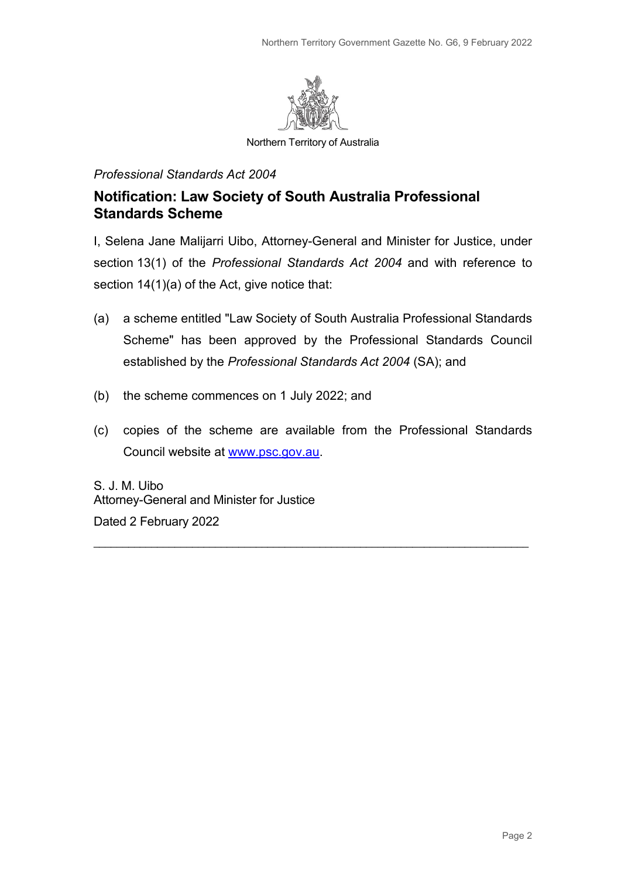

Northern Territory of Australia

#### *Professional Standards Act 2004*

#### **Notification: Law Society of South Australia Professional Standards Scheme**

I, Selena Jane Malijarri Uibo, Attorney-General and Minister for Justice, under section 13(1) of the *Professional Standards Act 2004* and with reference to section 14(1)(a) of the Act, give notice that:

- (a) a scheme entitled "Law Society of South Australia Professional Standards Scheme" has been approved by the Professional Standards Council established by the *Professional Standards Act 2004* (SA); and
- (b) the scheme commences on 1 July 2022; and
- (c) copies of the scheme are available from the Professional Standards Council website at [www.psc.gov.au.](http://www.psc.gov.au/)

\_\_\_\_\_\_\_\_\_\_\_\_\_\_\_\_\_\_\_\_\_\_\_\_\_\_\_\_\_\_\_\_\_\_\_\_\_\_\_\_\_\_\_\_\_\_\_\_\_\_\_\_\_\_\_\_\_\_\_\_\_\_\_\_\_\_\_\_\_\_\_\_\_\_\_

S. J. M. Uibo Attorney-General and Minister for Justice Dated 2 February 2022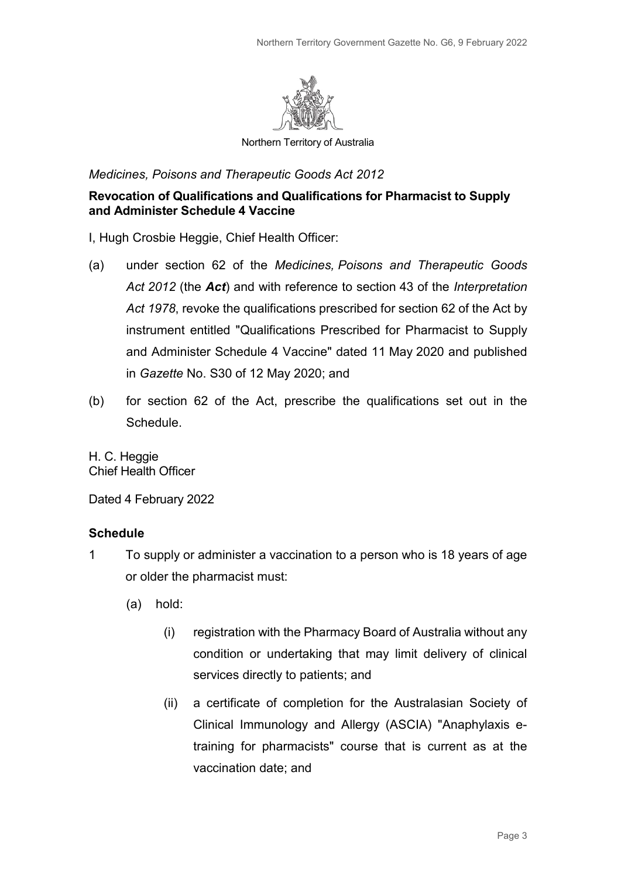

Northern Territory of Australia

*Medicines, Poisons and Therapeutic Goods Act 2012*

#### **Revocation of Qualifications and Qualifications for Pharmacist to Supply and Administer Schedule 4 Vaccine**

I, Hugh Crosbie Heggie, Chief Health Officer:

- (a) under section 62 of the *Medicines, Poisons and Therapeutic Goods Act 2012* (the *Act*) and with reference to section 43 of the *Interpretation Act 1978*, revoke the qualifications prescribed for section 62 of the Act by instrument entitled "Qualifications Prescribed for Pharmacist to Supply and Administer Schedule 4 Vaccine" dated 11 May 2020 and published in *Gazette* No. S30 of 12 May 2020; and
- (b) for section 62 of the Act, prescribe the qualifications set out in the **Schedule**

H. C. Heggie Chief Health Officer

Dated 4 February 2022

#### **Schedule**

- 1 To supply or administer a vaccination to a person who is 18 years of age or older the pharmacist must:
	- (a) hold:
		- (i) registration with the Pharmacy Board of Australia without any condition or undertaking that may limit delivery of clinical services directly to patients; and
		- (ii) a certificate of completion for the Australasian Society of Clinical Immunology and Allergy (ASCIA) "Anaphylaxis etraining for pharmacists" course that is current as at the vaccination date; and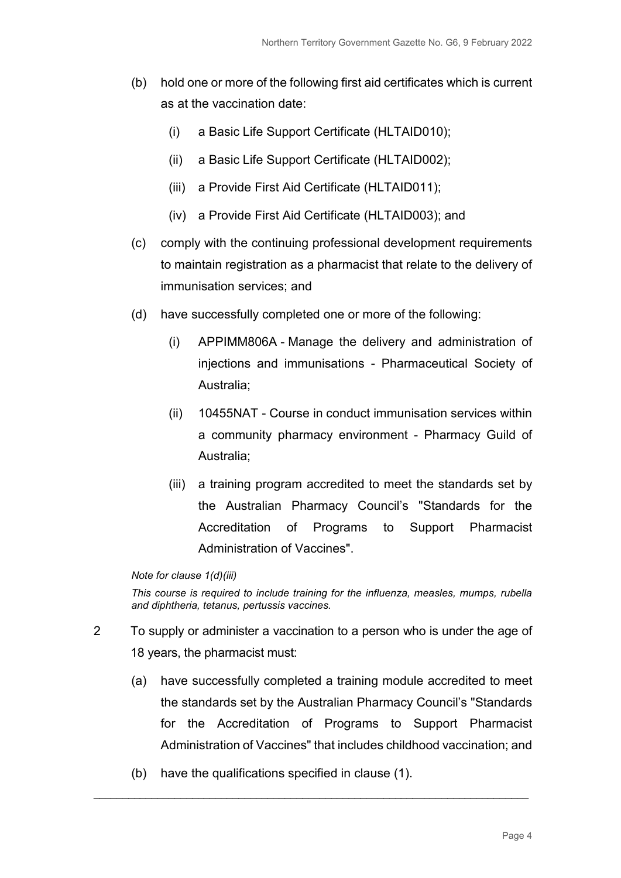- (b) hold one or more of the following first aid certificates which is current as at the vaccination date:
	- (i) a Basic Life Support Certificate (HLTAID010);
	- (ii) a Basic Life Support Certificate (HLTAID002);
	- (iii) a Provide First Aid Certificate (HLTAID011);
	- (iv) a Provide First Aid Certificate (HLTAID003); and
- (c) comply with the continuing professional development requirements to maintain registration as a pharmacist that relate to the delivery of immunisation services; and
- (d) have successfully completed one or more of the following:
	- (i) APPIMM806A Manage the delivery and administration of injections and immunisations - Pharmaceutical Society of Australia;
	- (ii) 10455NAT Course in conduct immunisation services within a community pharmacy environment - Pharmacy Guild of Australia;
	- (iii) a training program accredited to meet the standards set by the Australian Pharmacy Council's "Standards for the Accreditation of Programs to Support Pharmacist Administration of Vaccines".

*Note for clause 1(d)(iii)*

*This course is required to include training for the influenza, measles, mumps, rubella and diphtheria, tetanus, pertussis vaccines.*

2 To supply or administer a vaccination to a person who is under the age of 18 years, the pharmacist must:

\_\_\_\_\_\_\_\_\_\_\_\_\_\_\_\_\_\_\_\_\_\_\_\_\_\_\_\_\_\_\_\_\_\_\_\_\_\_\_\_\_\_\_\_\_\_\_\_\_\_\_\_\_\_\_\_\_\_\_\_\_\_\_\_\_\_\_\_\_\_\_\_\_\_\_

- (a) have successfully completed a training module accredited to meet the standards set by the Australian Pharmacy Council's "Standards for the Accreditation of Programs to Support Pharmacist Administration of Vaccines" that includes childhood vaccination; and
- (b) have the qualifications specified in clause (1).